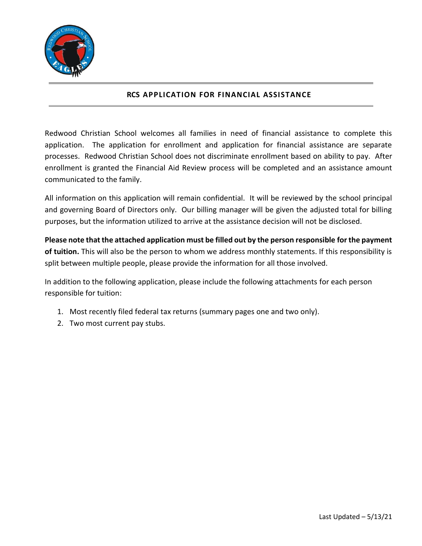

## **RCS APPLICATION FOR FINANCIAL ASSISTANCE**

Redwood Christian School welcomes all families in need of financial assistance to complete this application. The application for enrollment and application for financial assistance are separate processes. Redwood Christian School does not discriminate enrollment based on ability to pay. After enrollment is granted the Financial Aid Review process will be completed and an assistance amount communicated to the family.

All information on this application will remain confidential. It will be reviewed by the school principal and governing Board of Directors only. Our billing manager will be given the adjusted total for billing purposes, but the information utilized to arrive at the assistance decision will not be disclosed.

**Please note that the attached application must be filled out by the person responsible for the payment of tuition.** This will also be the person to whom we address monthly statements. If this responsibility is split between multiple people, please provide the information for all those involved.

In addition to the following application, please include the following attachments for each person responsible for tuition:

- 1. Most recently filed federal tax returns (summary pages one and two only).
- 2. Two most current pay stubs.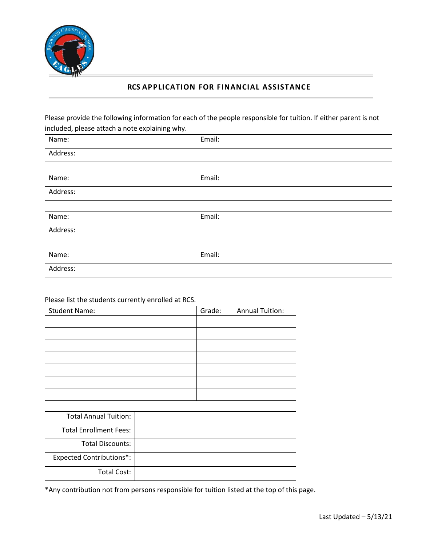

Address:

# **RCS APPLICATION FOR FINANCIAL ASSISTANCE**

Please provide the following information for each of the people responsible for tuition. If either parent is not included, please attach a note explaining why.

| Name:    | Email: |
|----------|--------|
| Address: |        |
|          |        |
| Name:    | Email: |

| Name:    | Email: |
|----------|--------|
| Address: |        |

| Name:    | Email: |
|----------|--------|
| Address: |        |

## Please list the students currently enrolled at RCS.

| <b>Student Name:</b> | Grade: | <b>Annual Tuition:</b> |
|----------------------|--------|------------------------|
|                      |        |                        |
|                      |        |                        |
|                      |        |                        |
|                      |        |                        |
|                      |        |                        |
|                      |        |                        |
|                      |        |                        |

| <b>Total Annual Tuition:</b>    |  |
|---------------------------------|--|
| <b>Total Enrollment Fees:</b>   |  |
| <b>Total Discounts:</b>         |  |
| <b>Expected Contributions*:</b> |  |
| Total Cost:                     |  |

\*Any contribution not from persons responsible for tuition listed at the top of this page.